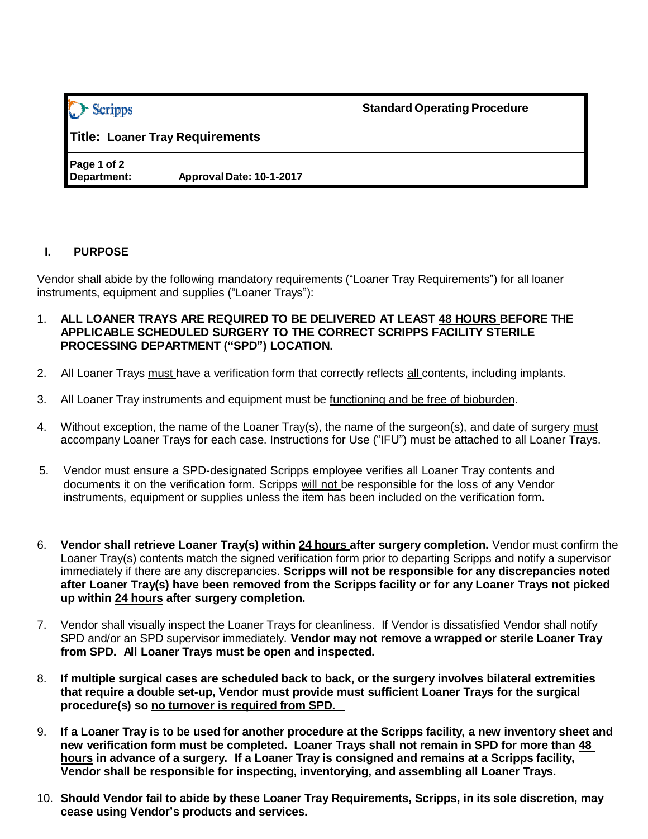| · Scripps                       |                          | <b>Standard Operating Procedure</b> |
|---------------------------------|--------------------------|-------------------------------------|
| Title: Loaner Tray Requirements |                          |                                     |
| Page 1 of 2<br>Department:      | Approval Date: 10-1-2017 |                                     |

## **I. PURPOSE**

Vendor shall abide by the following mandatory requirements ("Loaner Tray Requirements") for all loaner instruments, equipment and supplies ("Loaner Trays"):

- 1. **ALL LOANER TRAYS ARE REQUIRED TO BE DELIVERED AT LEAST 48 HOURS BEFORE THE APPLICABLE SCHEDULED SURGERY TO THE CORRECT SCRIPPS FACILITY STERILE PROCESSING DEPARTMENT ("SPD") LOCATION.**
- 2. All Loaner Trays must have a verification form that correctly reflects all contents, including implants.
- 3. All Loaner Tray instruments and equipment must be functioning and be free of bioburden.
- 4. Without exception, the name of the Loaner Tray(s), the name of the surgeon(s), and date of surgery must accompany Loaner Trays for each case. Instructions for Use ("IFU") must be attached to all Loaner Trays.
- 5. Vendor must ensure a SPD-designated Scripps employee verifies all Loaner Tray contents and documents it on the verification form. Scripps will not be responsible for the loss of any Vendor instruments, equipment or supplies unless the item has been included on the verification form.
- 6. **Vendor shall retrieve Loaner Tray(s) within 24 hours after surgery completion.** Vendor must confirm the Loaner Tray(s) contents match the signed verification form prior to departing Scripps and notify a supervisor immediately if there are any discrepancies. **Scripps will not be responsible for any discrepancies noted after Loaner Tray(s) have been removed from the Scripps facility or for any Loaner Trays not picked up within 24 hours after surgery completion.**
- 7. Vendor shall visually inspect the Loaner Trays for cleanliness. If Vendor is dissatisfied Vendor shall notify SPD and/or an SPD supervisor immediately. **Vendor may not remove a wrapped or sterile Loaner Tray from SPD. All Loaner Trays must be open and inspected.**
- 8. **If multiple surgical cases are scheduled back to back, or the surgery involves bilateral extremities that require a double set-up, Vendor must provide must sufficient Loaner Trays for the surgical procedure(s) so no turnover is required from SPD.**
- 9. **If a Loaner Tray is to be used for another procedure at the Scripps facility, a new inventory sheet and new verification form must be completed. Loaner Trays shall not remain in SPD for more than 48 hours in advance of a surgery. If a Loaner Tray is consigned and remains at a Scripps facility, Vendor shall be responsible for inspecting, inventorying, and assembling all Loaner Trays.**
- 10. **Should Vendor fail to abide by these Loaner Tray Requirements, Scripps, in its sole discretion, may cease using Vendor's products and services.**